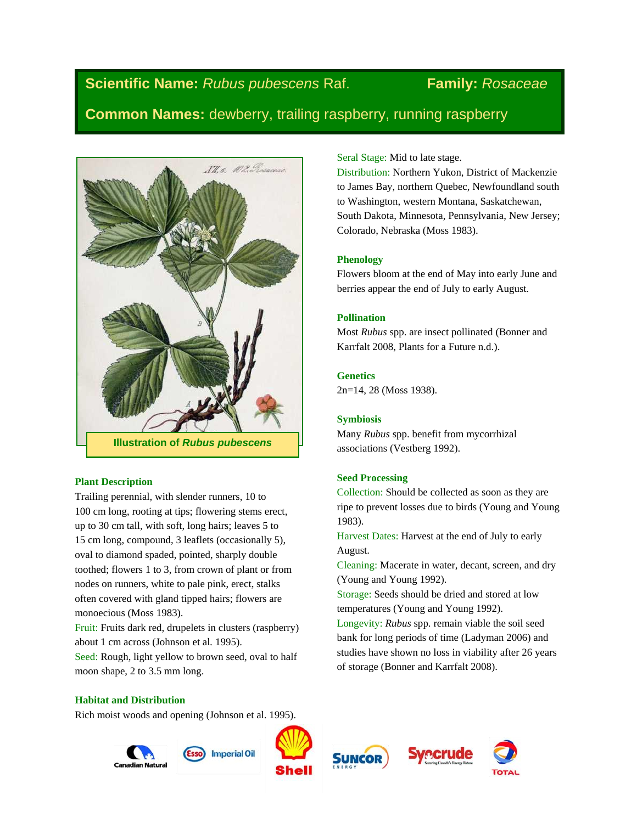# **Scientific Name:** *Rubus pubescens* Raf. **Family:** *Rosaceae*

**Common Names:** dewberry, trailing raspberry, running raspberry



### **Plant Description**

Trailing perennial, with slender runners, 10 to 100 cm long, rooting at tips; flowering stems erect, up to 30 cm tall, with soft, long hairs; leaves 5 to 15 cm long, compound, 3 leaflets (occasionally 5), oval to diamond spaded, pointed, sharply double toothed; flowers 1 to 3, from crown of plant or from nodes on runners, white to pale pink, erect, stalks often covered with gland tipped hairs; flowers are monoecious (Moss 1983).

Fruit: Fruits dark red, drupelets in clusters (raspberry) about 1 cm across (Johnson et al*.* 1995).

Seed: Rough, light yellow to brown seed, oval to half moon shape, 2 to 3.5 mm long.

# Seral Stage: Mid to late stage.

Distribution: Northern Yukon, District of Mackenzie to James Bay, northern Quebec, Newfoundland south to Washington, western Montana, Saskatchewan, South Dakota, Minnesota, Pennsylvania, New Jersey; Colorado, Nebraska (Moss 1983).

# **Phenology**

Flowers bloom at the end of May into early June and berries appear the end of July to early August.

# **Pollination**

Most *Rubus* spp. are insect pollinated (Bonner and Karrfalt 2008, Plants for a Future n.d.).

# **Genetics**

2n=14, 28 (Moss 1938).

# **Symbiosis**

Many *Rubus* spp. benefit from mycorrhizal associations (Vestberg 1992).

# **Seed Processing**

Collection: Should be collected as soon as they are ripe to prevent losses due to birds (Young and Young 1983).

Harvest Dates: Harvest at the end of July to early August.

Cleaning: Macerate in water, decant, screen, and dry (Young and Young 1992).

Storage: Seeds should be dried and stored at low temperatures (Young and Young 1992).

Longevity: *Rubus* spp. remain viable the soil seed bank for long periods of time (Ladyman 2006) and studies have shown no loss in viability after 26 years of storage (Bonner and Karrfalt 2008).

### **Habitat and Distribution**

Rich moist woods and opening (Johnson et al. 1995).

Canadian Natu







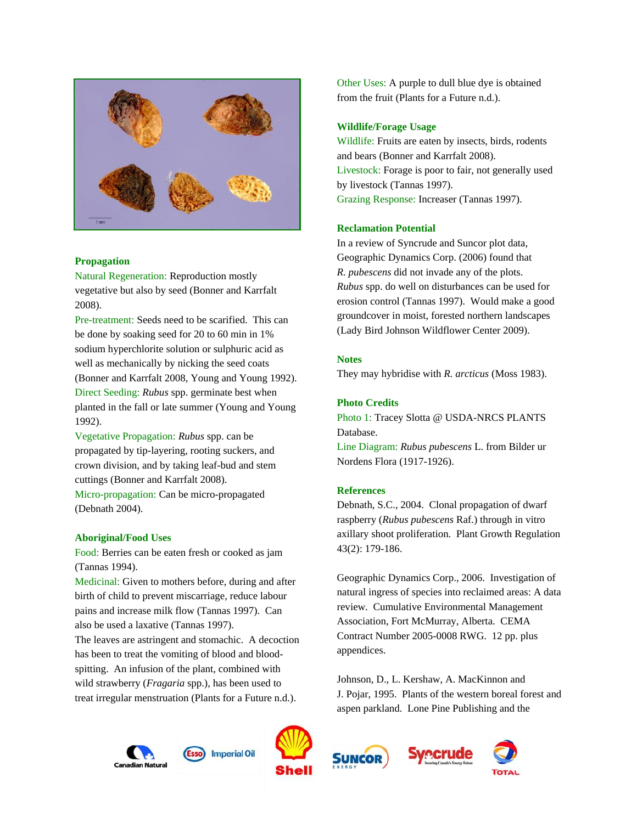

#### **Propagation**

Natural Regeneration: Reproduction mostly vegetative but also by seed (Bonner and Karrfalt 2008).

Pre-treatment: Seeds need to be scarified. This can be done by soaking seed for 20 to 60 min in 1% sodium hyperchlorite solution or sulphuric acid as well as mechanically by nicking the seed coats (Bonner and Karrfalt 2008, Young and Young 1992). Direct Seeding: *Rubus* spp. germinate best when planted in the fall or late summer (Young and Young 1992).

Vegetative Propagation: *Rubus* spp. can be propagated by tip-layering, rooting suckers, and crown division, and by taking leaf-bud and stem cuttings (Bonner and Karrfalt 2008).

Micro-propagation: Can be micro-propagated (Debnath 2004).

#### **Aboriginal/Food Uses**

Food: Berries can be eaten fresh or cooked as jam (Tannas 1994).

Medicinal: Given to mothers before, during and after birth of child to prevent miscarriage, reduce labour pains and increase milk flow (Tannas 1997). Can also be used a laxative (Tannas 1997).

The leaves are astringent and stomachic. A decoction has been to treat the vomiting of blood and bloodspitting. An infusion of the plant, combined with wild strawberry (*Fragaria* spp.), has been used to treat irregular menstruation (Plants for a Future n.d.).

Wildlife: Fruits are eaten by insects, birds, rodents and bears (Bonner and Karrfalt 2008). Livestock: Forage is poor to fair, not generally used by livestock (Tannas 1997). Grazing Response: Increaser (Tannas 1997).

#### **Reclamation Potential**

**Wildlife/Forage Usage**

In a review of Syncrude and Suncor plot data, Geographic Dynamics Corp. (2006) found that *R. pubescens* did not invade any of the plots. *Rubus* spp. do well on disturbances can be used for erosion control (Tannas 1997). Would make a good groundcover in moist, forested northern landscapes (Lady Bird Johnson Wildflower Center 2009).

Other Uses: A purple to dull blue dye is obtained

from the fruit (Plants for a Future n.d.).

## **Notes**

They may hybridise with *R. arcticus* (Moss 1983).

#### **Photo Credits**

Photo 1: Tracey Slotta @ USDA-NRCS PLANTS Database.

Line Diagram: *Rubus pubescens* L. from Bilder ur Nordens Flora (1917-1926).

#### **References**

Debnath, S.C., 2004. Clonal propagation of dwarf raspberry (*Rubus pubescens* Raf.) through in vitro axillary shoot proliferation. Plant Growth Regulation 43(2): 179-186.

Geographic Dynamics Corp., 2006. Investigation of natural ingress of species into reclaimed areas: A data review. Cumulative Environmental Management Association, Fort McMurray, Alberta. CEMA Contract Number 2005-0008 RWG. 12 pp. plus appendices.

Johnson, D., L. Kershaw, A. MacKinnon and J. Pojar, 1995. Plants of the western boreal forest and aspen parkland. Lone Pine Publishing and the









**Imperial Oil**